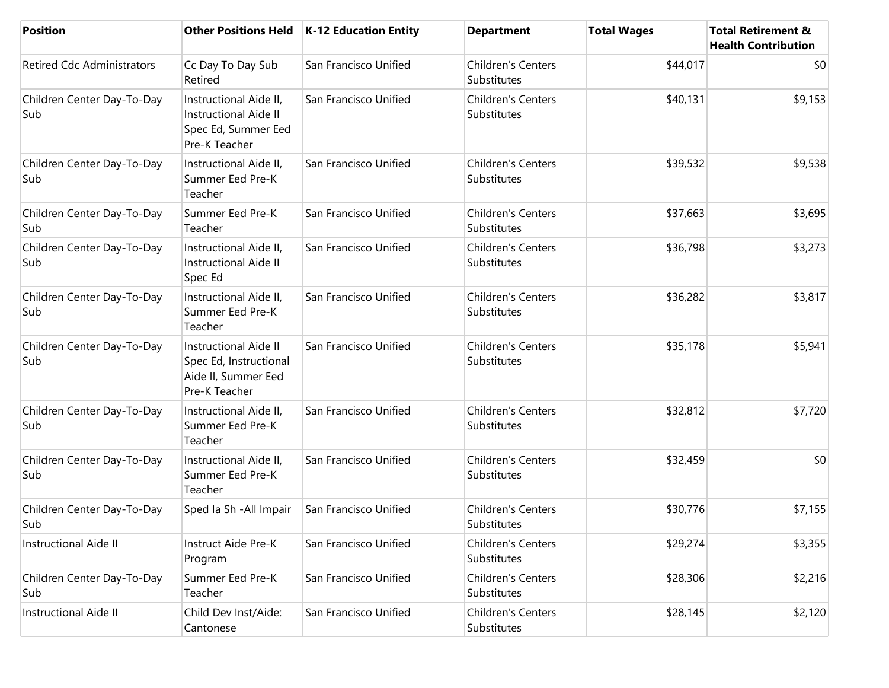| <b>Position</b>                   |                                                                                                | Other Positions Held   K-12 Education Entity | <b>Department</b>                        | <b>Total Wages</b> | <b>Total Retirement &amp;</b><br><b>Health Contribution</b> |
|-----------------------------------|------------------------------------------------------------------------------------------------|----------------------------------------------|------------------------------------------|--------------------|-------------------------------------------------------------|
| <b>Retired Cdc Administrators</b> | Cc Day To Day Sub<br>Retired                                                                   | San Francisco Unified                        | Children's Centers<br>Substitutes        | \$44,017           | \$0                                                         |
| Children Center Day-To-Day<br>Sub | Instructional Aide II,<br><b>Instructional Aide II</b><br>Spec Ed, Summer Eed<br>Pre-K Teacher | San Francisco Unified                        | <b>Children's Centers</b><br>Substitutes | \$40,131           | \$9,153                                                     |
| Children Center Day-To-Day<br>Sub | Instructional Aide II,<br>Summer Eed Pre-K<br>Teacher                                          | San Francisco Unified                        | Children's Centers<br>Substitutes        | \$39,532           | \$9,538                                                     |
| Children Center Day-To-Day<br>Sub | Summer Eed Pre-K<br>Teacher                                                                    | San Francisco Unified                        | Children's Centers<br>Substitutes        | \$37,663           | \$3,695                                                     |
| Children Center Day-To-Day<br>Sub | Instructional Aide II,<br><b>Instructional Aide II</b><br>Spec Ed                              | San Francisco Unified                        | <b>Children's Centers</b><br>Substitutes | \$36,798           | \$3,273                                                     |
| Children Center Day-To-Day<br>Sub | Instructional Aide II,<br>Summer Eed Pre-K<br>Teacher                                          | San Francisco Unified                        | Children's Centers<br>Substitutes        | \$36,282           | \$3,817                                                     |
| Children Center Day-To-Day<br>Sub | <b>Instructional Aide II</b><br>Spec Ed, Instructional<br>Aide II, Summer Eed<br>Pre-K Teacher | San Francisco Unified                        | Children's Centers<br>Substitutes        | \$35,178           | \$5,941                                                     |
| Children Center Day-To-Day<br>Sub | Instructional Aide II,<br>Summer Eed Pre-K<br>Teacher                                          | San Francisco Unified                        | Children's Centers<br>Substitutes        | \$32,812           | \$7,720                                                     |
| Children Center Day-To-Day<br>Sub | Instructional Aide II,<br>Summer Eed Pre-K<br>Teacher                                          | San Francisco Unified                        | Children's Centers<br>Substitutes        | \$32,459           | \$0                                                         |
| Children Center Day-To-Day<br>Sub | Sped Ia Sh - All Impair                                                                        | San Francisco Unified                        | Children's Centers<br>Substitutes        | \$30,776           | \$7,155                                                     |
| Instructional Aide II             | Instruct Aide Pre-K<br>Program                                                                 | San Francisco Unified                        | <b>Children's Centers</b><br>Substitutes | \$29,274           | \$3,355                                                     |
| Children Center Day-To-Day<br>Sub | Summer Eed Pre-K<br>Teacher                                                                    | San Francisco Unified                        | Children's Centers<br>Substitutes        | \$28,306           | \$2,216                                                     |
| Instructional Aide II             | Child Dev Inst/Aide:<br>Cantonese                                                              | San Francisco Unified                        | Children's Centers<br>Substitutes        | \$28,145           | \$2,120                                                     |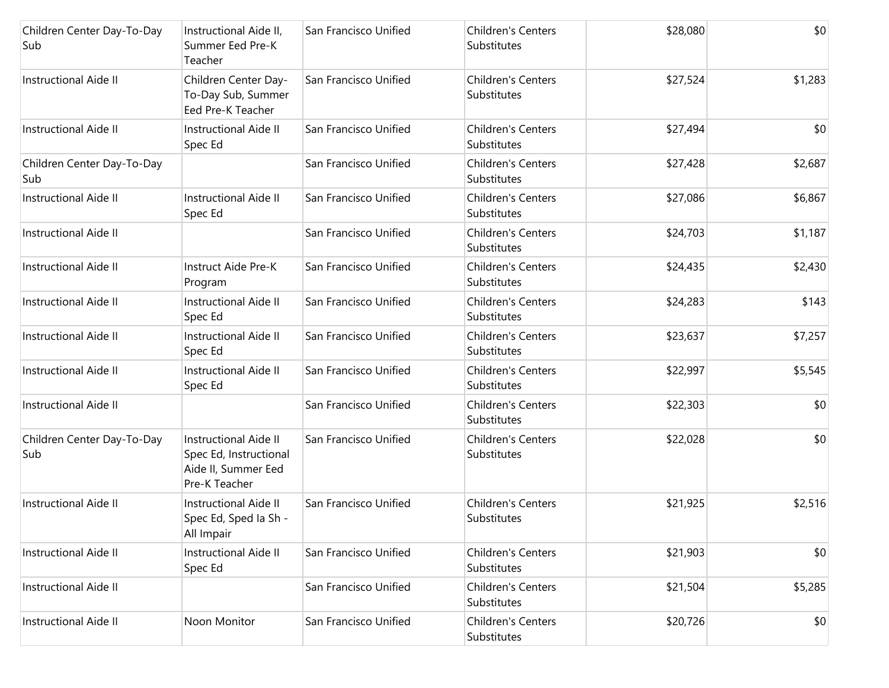| Children Center Day-To-Day<br>Sub | Instructional Aide II,<br>Summer Eed Pre-K<br>Teacher                                          | San Francisco Unified | Children's Centers<br>Substitutes        | \$28,080 | \$0     |
|-----------------------------------|------------------------------------------------------------------------------------------------|-----------------------|------------------------------------------|----------|---------|
| <b>Instructional Aide II</b>      | Children Center Day-<br>To-Day Sub, Summer<br>Eed Pre-K Teacher                                | San Francisco Unified | <b>Children's Centers</b><br>Substitutes | \$27,524 | \$1,283 |
| <b>Instructional Aide II</b>      | <b>Instructional Aide II</b><br>Spec Ed                                                        | San Francisco Unified | <b>Children's Centers</b><br>Substitutes | \$27,494 | \$0     |
| Children Center Day-To-Day<br>Sub |                                                                                                | San Francisco Unified | <b>Children's Centers</b><br>Substitutes | \$27,428 | \$2,687 |
| <b>Instructional Aide II</b>      | <b>Instructional Aide II</b><br>Spec Ed                                                        | San Francisco Unified | <b>Children's Centers</b><br>Substitutes | \$27,086 | \$6,867 |
| <b>Instructional Aide II</b>      |                                                                                                | San Francisco Unified | <b>Children's Centers</b><br>Substitutes | \$24,703 | \$1,187 |
| <b>Instructional Aide II</b>      | Instruct Aide Pre-K<br>Program                                                                 | San Francisco Unified | <b>Children's Centers</b><br>Substitutes | \$24,435 | \$2,430 |
| <b>Instructional Aide II</b>      | <b>Instructional Aide II</b><br>Spec Ed                                                        | San Francisco Unified | <b>Children's Centers</b><br>Substitutes | \$24,283 | \$143   |
| <b>Instructional Aide II</b>      | <b>Instructional Aide II</b><br>Spec Ed                                                        | San Francisco Unified | Children's Centers<br>Substitutes        | \$23,637 | \$7,257 |
| <b>Instructional Aide II</b>      | <b>Instructional Aide II</b><br>Spec Ed                                                        | San Francisco Unified | <b>Children's Centers</b><br>Substitutes | \$22,997 | \$5,545 |
| <b>Instructional Aide II</b>      |                                                                                                | San Francisco Unified | <b>Children's Centers</b><br>Substitutes | \$22,303 | \$0     |
| Children Center Day-To-Day<br>Sub | <b>Instructional Aide II</b><br>Spec Ed, Instructional<br>Aide II, Summer Eed<br>Pre-K Teacher | San Francisco Unified | <b>Children's Centers</b><br>Substitutes | \$22,028 | \$0     |
| <b>Instructional Aide II</b>      | <b>Instructional Aide II</b><br>Spec Ed, Sped Ia Sh -<br>All Impair                            | San Francisco Unified | <b>Children's Centers</b><br>Substitutes | \$21,925 | \$2,516 |
| <b>Instructional Aide II</b>      | <b>Instructional Aide II</b><br>Spec Ed                                                        | San Francisco Unified | <b>Children's Centers</b><br>Substitutes | \$21,903 | \$0     |
| <b>Instructional Aide II</b>      |                                                                                                | San Francisco Unified | Children's Centers<br>Substitutes        | \$21,504 | \$5,285 |
| <b>Instructional Aide II</b>      | Noon Monitor                                                                                   | San Francisco Unified | <b>Children's Centers</b><br>Substitutes | \$20,726 | \$0     |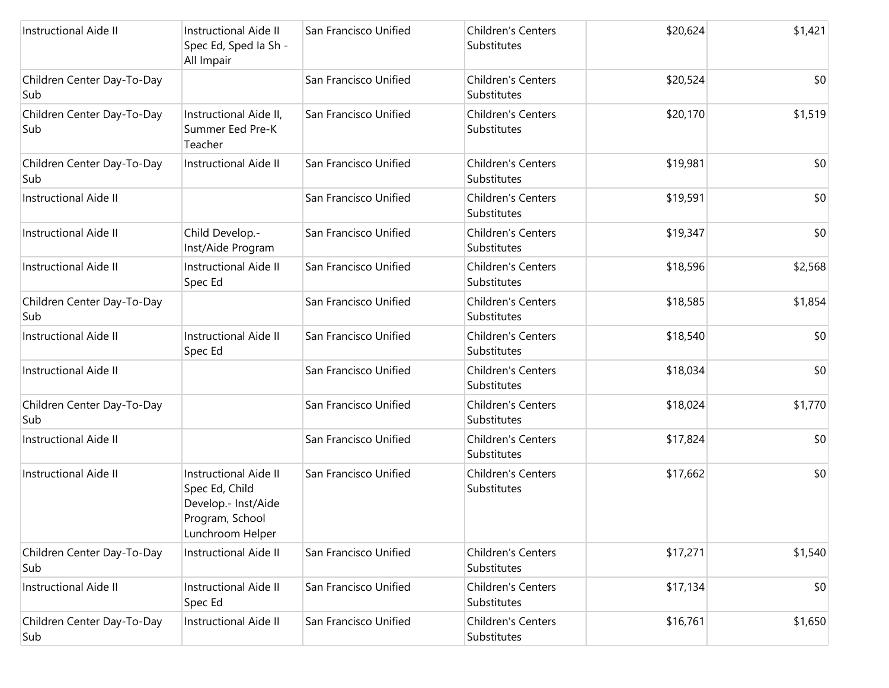| <b>Instructional Aide II</b>      | <b>Instructional Aide II</b><br>Spec Ed, Sped Ia Sh -<br>All Impair                                   | San Francisco Unified | Children's Centers<br>Substitutes        | \$20,624 | \$1,421 |
|-----------------------------------|-------------------------------------------------------------------------------------------------------|-----------------------|------------------------------------------|----------|---------|
| Children Center Day-To-Day<br>Sub |                                                                                                       | San Francisco Unified | <b>Children's Centers</b><br>Substitutes | \$20,524 | \$0     |
| Children Center Day-To-Day<br>Sub | Instructional Aide II,<br>Summer Eed Pre-K<br>Teacher                                                 | San Francisco Unified | <b>Children's Centers</b><br>Substitutes | \$20,170 | \$1,519 |
| Children Center Day-To-Day<br>Sub | <b>Instructional Aide II</b>                                                                          | San Francisco Unified | <b>Children's Centers</b><br>Substitutes | \$19,981 | \$0     |
| <b>Instructional Aide II</b>      |                                                                                                       | San Francisco Unified | <b>Children's Centers</b><br>Substitutes | \$19,591 | \$0     |
| <b>Instructional Aide II</b>      | Child Develop.-<br>Inst/Aide Program                                                                  | San Francisco Unified | <b>Children's Centers</b><br>Substitutes | \$19,347 | \$0     |
| Instructional Aide II             | <b>Instructional Aide II</b><br>Spec Ed                                                               | San Francisco Unified | Children's Centers<br>Substitutes        | \$18,596 | \$2,568 |
| Children Center Day-To-Day<br>Sub |                                                                                                       | San Francisco Unified | <b>Children's Centers</b><br>Substitutes | \$18,585 | \$1,854 |
| <b>Instructional Aide II</b>      | <b>Instructional Aide II</b><br>Spec Ed                                                               | San Francisco Unified | <b>Children's Centers</b><br>Substitutes | \$18,540 | \$0     |
| <b>Instructional Aide II</b>      |                                                                                                       | San Francisco Unified | <b>Children's Centers</b><br>Substitutes | \$18,034 | \$0     |
| Children Center Day-To-Day<br>Sub |                                                                                                       | San Francisco Unified | Children's Centers<br>Substitutes        | \$18,024 | \$1,770 |
| <b>Instructional Aide II</b>      |                                                                                                       | San Francisco Unified | <b>Children's Centers</b><br>Substitutes | \$17,824 | \$0     |
| <b>Instructional Aide II</b>      | Instructional Aide II<br>Spec Ed, Child<br>Develop.- Inst/Aide<br>Program, School<br>Lunchroom Helper | San Francisco Unified | Children's Centers<br>Substitutes        | \$17,662 | \$0     |
| Children Center Day-To-Day<br>Sub | <b>Instructional Aide II</b>                                                                          | San Francisco Unified | Children's Centers<br>Substitutes        | \$17,271 | \$1,540 |
| Instructional Aide II             | <b>Instructional Aide II</b><br>Spec Ed                                                               | San Francisco Unified | Children's Centers<br>Substitutes        | \$17,134 | \$0     |
| Children Center Day-To-Day<br>Sub | Instructional Aide II                                                                                 | San Francisco Unified | Children's Centers<br>Substitutes        | \$16,761 | \$1,650 |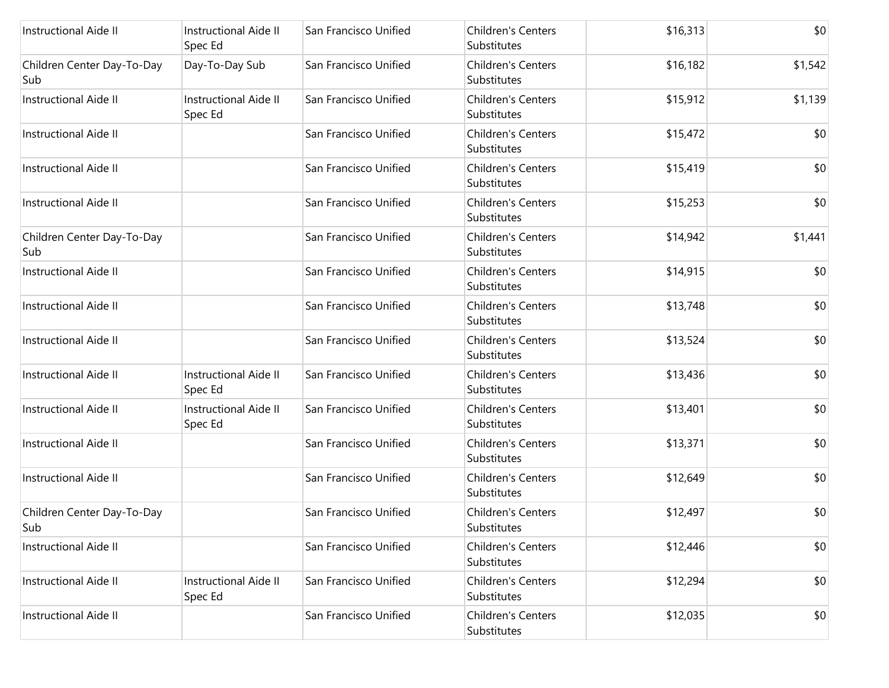| <b>Instructional Aide II</b>      | <b>Instructional Aide II</b><br>Spec Ed | San Francisco Unified | <b>Children's Centers</b><br>Substitutes | \$16,313 | \$0     |
|-----------------------------------|-----------------------------------------|-----------------------|------------------------------------------|----------|---------|
| Children Center Day-To-Day<br>Sub | Day-To-Day Sub                          | San Francisco Unified | <b>Children's Centers</b><br>Substitutes | \$16,182 | \$1,542 |
| Instructional Aide II             | <b>Instructional Aide II</b><br>Spec Ed | San Francisco Unified | <b>Children's Centers</b><br>Substitutes | \$15,912 | \$1,139 |
| <b>Instructional Aide II</b>      |                                         | San Francisco Unified | <b>Children's Centers</b><br>Substitutes | \$15,472 | \$0     |
| <b>Instructional Aide II</b>      |                                         | San Francisco Unified | <b>Children's Centers</b><br>Substitutes | \$15,419 | \$0     |
| <b>Instructional Aide II</b>      |                                         | San Francisco Unified | <b>Children's Centers</b><br>Substitutes | \$15,253 | \$0     |
| Children Center Day-To-Day<br>Sub |                                         | San Francisco Unified | <b>Children's Centers</b><br>Substitutes | \$14,942 | \$1,441 |
| <b>Instructional Aide II</b>      |                                         | San Francisco Unified | Children's Centers<br>Substitutes        | \$14,915 | \$0     |
| <b>Instructional Aide II</b>      |                                         | San Francisco Unified | <b>Children's Centers</b><br>Substitutes | \$13,748 | \$0     |
| <b>Instructional Aide II</b>      |                                         | San Francisco Unified | Children's Centers<br>Substitutes        | \$13,524 | \$0     |
| Instructional Aide II             | <b>Instructional Aide II</b><br>Spec Ed | San Francisco Unified | <b>Children's Centers</b><br>Substitutes | \$13,436 | \$0     |
| <b>Instructional Aide II</b>      | <b>Instructional Aide II</b><br>Spec Ed | San Francisco Unified | <b>Children's Centers</b><br>Substitutes | \$13,401 | \$0     |
| <b>Instructional Aide II</b>      |                                         | San Francisco Unified | <b>Children's Centers</b><br>Substitutes | \$13,371 | \$0     |
| Instructional Aide II             |                                         | San Francisco Unified | Children's Centers<br>Substitutes        | \$12,649 | \$0     |
| Children Center Day-To-Day<br>Sub |                                         | San Francisco Unified | Children's Centers<br>Substitutes        | \$12,497 | \$0     |
| <b>Instructional Aide II</b>      |                                         | San Francisco Unified | <b>Children's Centers</b><br>Substitutes | \$12,446 | \$0     |
| <b>Instructional Aide II</b>      | <b>Instructional Aide II</b><br>Spec Ed | San Francisco Unified | Children's Centers<br>Substitutes        | \$12,294 | \$0     |
| <b>Instructional Aide II</b>      |                                         | San Francisco Unified | Children's Centers<br>Substitutes        | \$12,035 | \$0     |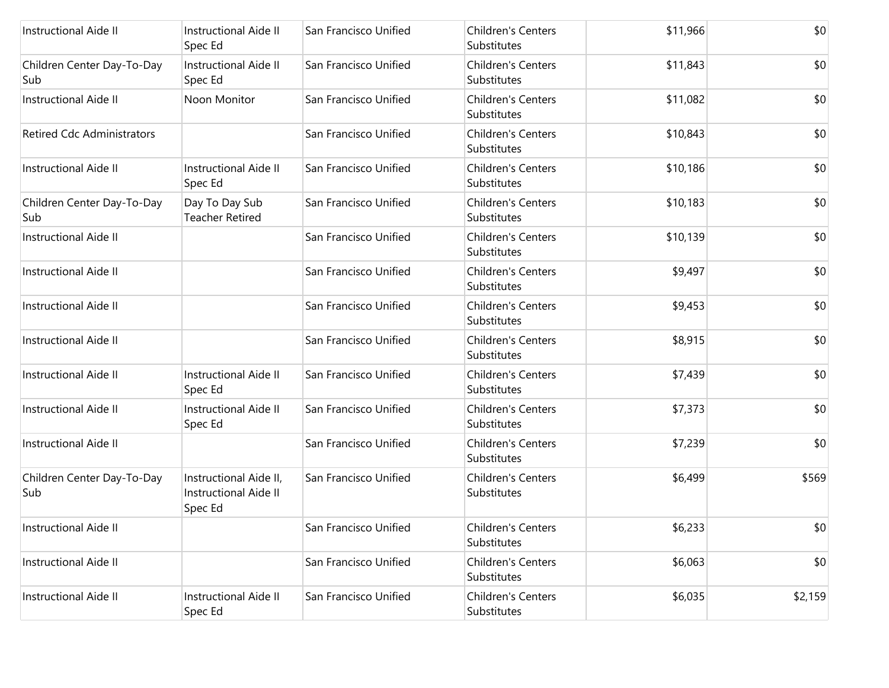| <b>Instructional Aide II</b>      | <b>Instructional Aide II</b><br>Spec Ed                           | San Francisco Unified | <b>Children's Centers</b><br>Substitutes | \$11,966 | \$0     |
|-----------------------------------|-------------------------------------------------------------------|-----------------------|------------------------------------------|----------|---------|
| Children Center Day-To-Day<br>Sub | <b>Instructional Aide II</b><br>Spec Ed                           | San Francisco Unified | <b>Children's Centers</b><br>Substitutes | \$11,843 | \$0     |
| <b>Instructional Aide II</b>      | Noon Monitor                                                      | San Francisco Unified | <b>Children's Centers</b><br>Substitutes | \$11,082 | \$0     |
| <b>Retired Cdc Administrators</b> |                                                                   | San Francisco Unified | <b>Children's Centers</b><br>Substitutes | \$10,843 | \$0     |
| <b>Instructional Aide II</b>      | <b>Instructional Aide II</b><br>Spec Ed                           | San Francisco Unified | <b>Children's Centers</b><br>Substitutes | \$10,186 | \$0     |
| Children Center Day-To-Day<br>Sub | Day To Day Sub<br><b>Teacher Retired</b>                          | San Francisco Unified | <b>Children's Centers</b><br>Substitutes | \$10,183 | \$0     |
| <b>Instructional Aide II</b>      |                                                                   | San Francisco Unified | <b>Children's Centers</b><br>Substitutes | \$10,139 | \$0     |
| <b>Instructional Aide II</b>      |                                                                   | San Francisco Unified | <b>Children's Centers</b><br>Substitutes | \$9,497  | \$0     |
| <b>Instructional Aide II</b>      |                                                                   | San Francisco Unified | Children's Centers<br>Substitutes        | \$9,453  | \$0     |
| <b>Instructional Aide II</b>      |                                                                   | San Francisco Unified | <b>Children's Centers</b><br>Substitutes | \$8,915  | \$0     |
| <b>Instructional Aide II</b>      | <b>Instructional Aide II</b><br>Spec Ed                           | San Francisco Unified | <b>Children's Centers</b><br>Substitutes | \$7,439  | \$0     |
| <b>Instructional Aide II</b>      | <b>Instructional Aide II</b><br>Spec Ed                           | San Francisco Unified | <b>Children's Centers</b><br>Substitutes | \$7,373  | \$0     |
| <b>Instructional Aide II</b>      |                                                                   | San Francisco Unified | <b>Children's Centers</b><br>Substitutes | \$7,239  | \$0     |
| Children Center Day-To-Day<br>Sub | Instructional Aide II,<br><b>Instructional Aide II</b><br>Spec Ed | San Francisco Unified | <b>Children's Centers</b><br>Substitutes | \$6,499  | \$569   |
| Instructional Aide II             |                                                                   | San Francisco Unified | Children's Centers<br>Substitutes        | \$6,233  | \$0     |
| <b>Instructional Aide II</b>      |                                                                   | San Francisco Unified | <b>Children's Centers</b><br>Substitutes | \$6,063  | \$0     |
| Instructional Aide II             | Instructional Aide II<br>Spec Ed                                  | San Francisco Unified | <b>Children's Centers</b><br>Substitutes | \$6,035  | \$2,159 |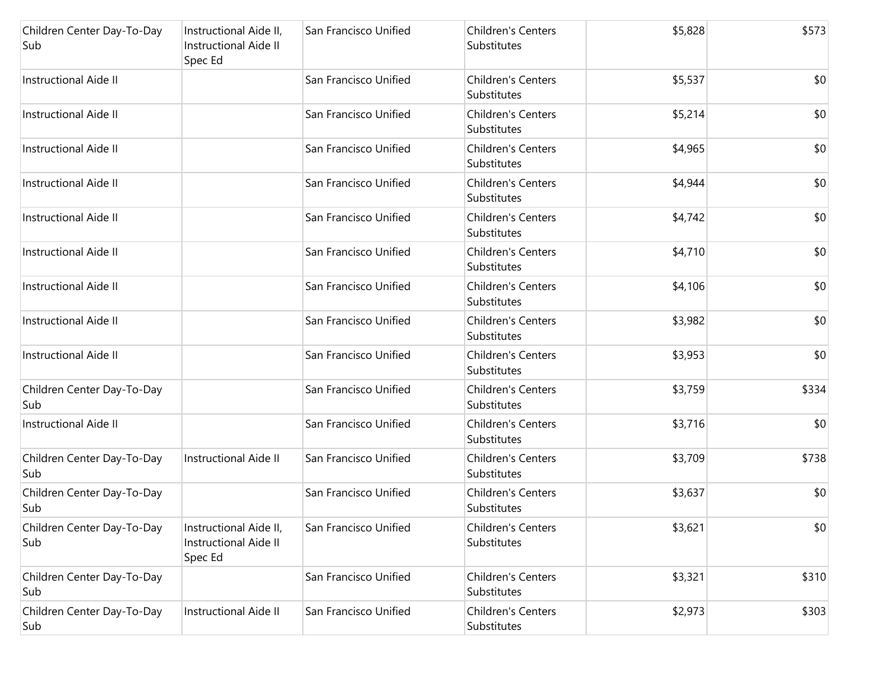| Children Center Day-To-Day<br>Sub  | Instructional Aide II,<br>Instructional Aide II<br>Spec Ed        | San Francisco Unified | Children's Centers<br>Substitutes        | \$5,828 | \$573 |
|------------------------------------|-------------------------------------------------------------------|-----------------------|------------------------------------------|---------|-------|
| <b>Instructional Aide II</b>       |                                                                   | San Francisco Unified | Children's Centers<br>Substitutes        | \$5,537 | \$0   |
| <b>Instructional Aide II</b>       |                                                                   | San Francisco Unified | Children's Centers<br>Substitutes        | \$5,214 | \$0   |
| <b>Instructional Aide II</b>       |                                                                   | San Francisco Unified | <b>Children's Centers</b><br>Substitutes | \$4,965 | \$0   |
| <b>Instructional Aide II</b>       |                                                                   | San Francisco Unified | Children's Centers<br>Substitutes        | \$4,944 | \$0   |
| <b>Instructional Aide II</b>       |                                                                   | San Francisco Unified | <b>Children's Centers</b><br>Substitutes | \$4,742 | \$0   |
| <b>Instructional Aide II</b>       |                                                                   | San Francisco Unified | <b>Children's Centers</b><br>Substitutes | \$4,710 | \$0   |
| <b>Instructional Aide II</b>       |                                                                   | San Francisco Unified | Children's Centers<br>Substitutes        | \$4,106 | \$0   |
| <b>Instructional Aide II</b>       |                                                                   | San Francisco Unified | Children's Centers<br>Substitutes        | \$3,982 | \$0   |
| <b>Instructional Aide II</b>       |                                                                   | San Francisco Unified | Children's Centers<br>Substitutes        | \$3,953 | \$0   |
| Children Center Day-To-Day<br>Sub  |                                                                   | San Francisco Unified | Children's Centers<br>Substitutes        | \$3,759 | \$334 |
| <b>Instructional Aide II</b>       |                                                                   | San Francisco Unified | Children's Centers<br>Substitutes        | \$3,716 | \$0   |
| Children Center Day-To-Day<br> Sub | Instructional Aide II                                             | San Francisco Unified | <b>Children's Centers</b><br>Substitutes | \$3,709 | \$738 |
| Children Center Day-To-Day<br>Sub  |                                                                   | San Francisco Unified | Children's Centers<br>Substitutes        | \$3,637 | \$0   |
| Children Center Day-To-Day<br>Sub  | Instructional Aide II,<br><b>Instructional Aide II</b><br>Spec Ed | San Francisco Unified | Children's Centers<br>Substitutes        | \$3,621 | \$0   |
| Children Center Day-To-Day<br>Sub  |                                                                   | San Francisco Unified | Children's Centers<br>Substitutes        | \$3,321 | \$310 |
| Children Center Day-To-Day<br>Sub  | Instructional Aide II                                             | San Francisco Unified | Children's Centers<br>Substitutes        | \$2,973 | \$303 |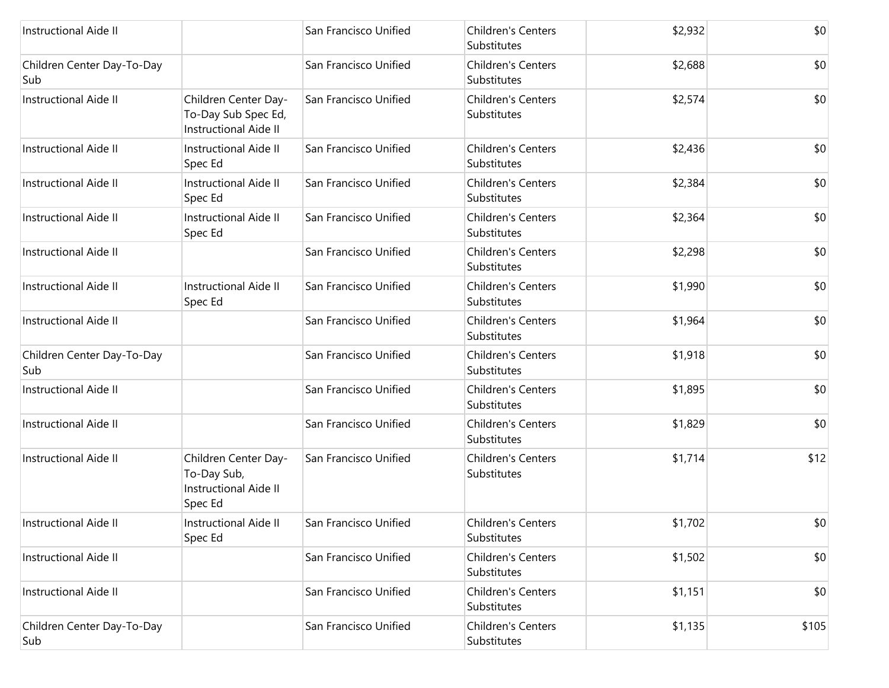| <b>Instructional Aide II</b>      |                                                                                | San Francisco Unified | <b>Children's Centers</b><br>Substitutes | \$2,932 | \$0   |
|-----------------------------------|--------------------------------------------------------------------------------|-----------------------|------------------------------------------|---------|-------|
| Children Center Day-To-Day<br>Sub |                                                                                | San Francisco Unified | <b>Children's Centers</b><br>Substitutes | \$2,688 | \$0   |
| Instructional Aide II             | Children Center Day-<br>To-Day Sub Spec Ed,<br>Instructional Aide II           | San Francisco Unified | <b>Children's Centers</b><br>Substitutes | \$2,574 | \$0   |
| <b>Instructional Aide II</b>      | Instructional Aide II<br>Spec Ed                                               | San Francisco Unified | <b>Children's Centers</b><br>Substitutes | \$2,436 | \$0   |
| <b>Instructional Aide II</b>      | <b>Instructional Aide II</b><br>Spec Ed                                        | San Francisco Unified | <b>Children's Centers</b><br>Substitutes | \$2,384 | \$0   |
| <b>Instructional Aide II</b>      | <b>Instructional Aide II</b><br>Spec Ed                                        | San Francisco Unified | Children's Centers<br>Substitutes        | \$2,364 | \$0   |
| <b>Instructional Aide II</b>      |                                                                                | San Francisco Unified | <b>Children's Centers</b><br>Substitutes | \$2,298 | \$0   |
| <b>Instructional Aide II</b>      | <b>Instructional Aide II</b><br>Spec Ed                                        | San Francisco Unified | Children's Centers<br>Substitutes        | \$1,990 | \$0   |
| <b>Instructional Aide II</b>      |                                                                                | San Francisco Unified | <b>Children's Centers</b><br>Substitutes | \$1,964 | \$0   |
| Children Center Day-To-Day<br>Sub |                                                                                | San Francisco Unified | Children's Centers<br>Substitutes        | \$1,918 | \$0   |
| <b>Instructional Aide II</b>      |                                                                                | San Francisco Unified | <b>Children's Centers</b><br>Substitutes | \$1,895 | \$0   |
| <b>Instructional Aide II</b>      |                                                                                | San Francisco Unified | <b>Children's Centers</b><br>Substitutes | \$1,829 | \$0   |
| <b>Instructional Aide II</b>      | Children Center Day-<br>To-Day Sub,<br><b>Instructional Aide II</b><br>Spec Ed | San Francisco Unified | Children's Centers<br>Substitutes        | \$1,714 | \$12  |
| Instructional Aide II             | Instructional Aide II<br>Spec Ed                                               | San Francisco Unified | Children's Centers<br>Substitutes        | \$1,702 | \$0   |
| Instructional Aide II             |                                                                                | San Francisco Unified | Children's Centers<br>Substitutes        | \$1,502 | \$0   |
| <b>Instructional Aide II</b>      |                                                                                | San Francisco Unified | Children's Centers<br>Substitutes        | \$1,151 | \$0   |
| Children Center Day-To-Day<br>Sub |                                                                                | San Francisco Unified | Children's Centers<br>Substitutes        | \$1,135 | \$105 |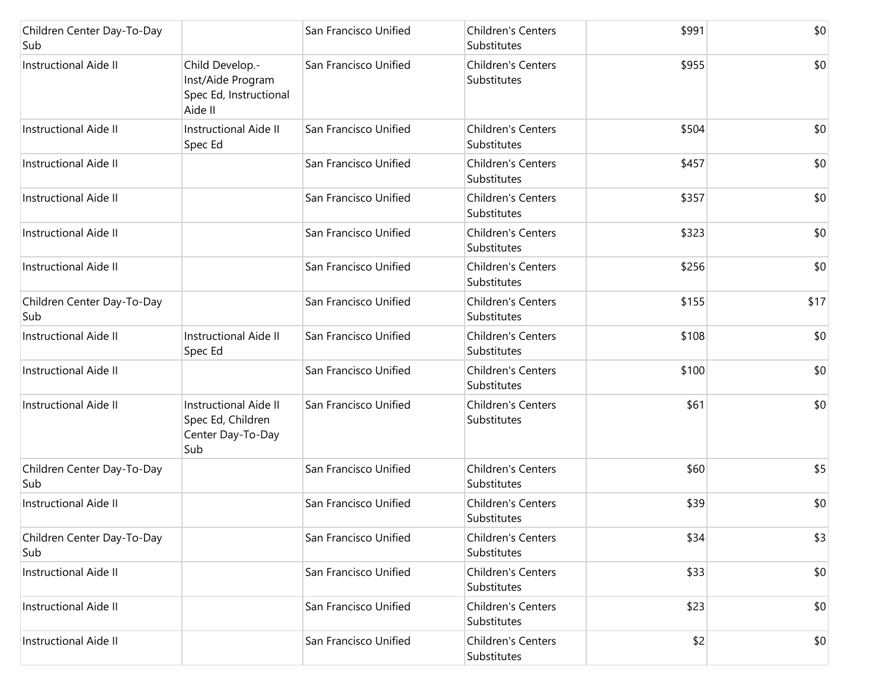| Children Center Day-To-Day<br>Sub |                                                                               | San Francisco Unified | Children's Centers<br>Substitutes        | \$991 | \$0  |
|-----------------------------------|-------------------------------------------------------------------------------|-----------------------|------------------------------------------|-------|------|
| Instructional Aide II             | Child Develop.-<br>Inst/Aide Program<br>Spec Ed, Instructional<br>Aide II     | San Francisco Unified | <b>Children's Centers</b><br>Substitutes | \$955 | \$0  |
| <b>Instructional Aide II</b>      | <b>Instructional Aide II</b><br>Spec Ed                                       | San Francisco Unified | <b>Children's Centers</b><br>Substitutes | \$504 | \$0  |
| <b>Instructional Aide II</b>      |                                                                               | San Francisco Unified | <b>Children's Centers</b><br>Substitutes | \$457 | \$0  |
| <b>Instructional Aide II</b>      |                                                                               | San Francisco Unified | <b>Children's Centers</b><br>Substitutes | \$357 | \$0  |
| <b>Instructional Aide II</b>      |                                                                               | San Francisco Unified | <b>Children's Centers</b><br>Substitutes | \$323 | \$0  |
| Instructional Aide II             |                                                                               | San Francisco Unified | <b>Children's Centers</b><br>Substitutes | \$256 | \$0  |
| Children Center Day-To-Day<br>Sub |                                                                               | San Francisco Unified | <b>Children's Centers</b><br>Substitutes | \$155 | \$17 |
| <b>Instructional Aide II</b>      | <b>Instructional Aide II</b><br>Spec Ed                                       | San Francisco Unified | <b>Children's Centers</b><br>Substitutes | \$108 | \$0  |
| <b>Instructional Aide II</b>      |                                                                               | San Francisco Unified | <b>Children's Centers</b><br>Substitutes | \$100 | \$0  |
| <b>Instructional Aide II</b>      | <b>Instructional Aide II</b><br>Spec Ed, Children<br>Center Day-To-Day<br>Sub | San Francisco Unified | <b>Children's Centers</b><br>Substitutes | \$61  | \$0  |
| Children Center Day-To-Day<br>Sub |                                                                               | San Francisco Unified | Children's Centers<br>Substitutes        | \$60  | \$5  |
| <b>Instructional Aide II</b>      |                                                                               | San Francisco Unified | Children's Centers<br>Substitutes        | \$39  | \$0  |
| Children Center Day-To-Day<br>Sub |                                                                               | San Francisco Unified | Children's Centers<br>Substitutes        | \$34  | \$3  |
| <b>Instructional Aide II</b>      |                                                                               | San Francisco Unified | Children's Centers<br>Substitutes        | \$33  | \$0  |
| <b>Instructional Aide II</b>      |                                                                               | San Francisco Unified | <b>Children's Centers</b><br>Substitutes | \$23  | \$0  |
| <b>Instructional Aide II</b>      |                                                                               | San Francisco Unified | Children's Centers<br>Substitutes        | \$2   | \$0  |